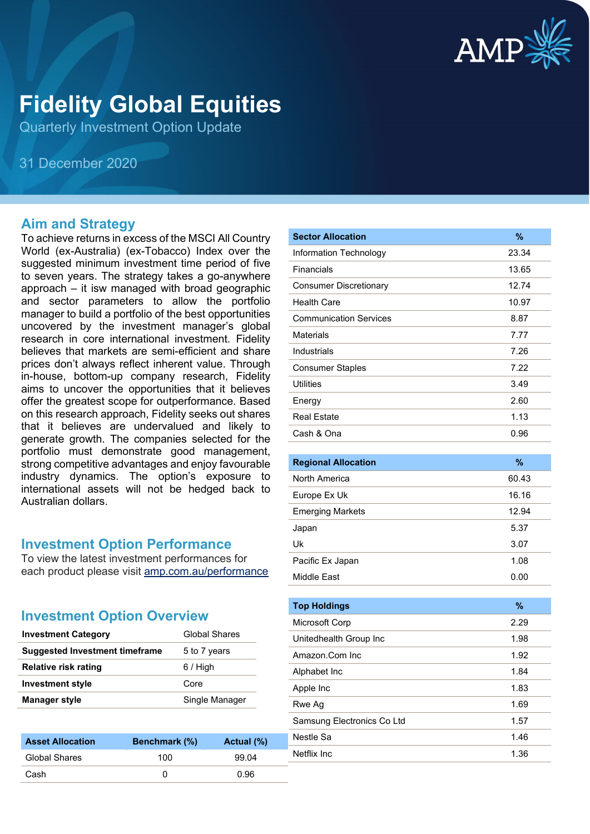

# **Fidelity Global Equities**

Quarterly Investment Option Update

31 December 2020

#### **Aim and Strategy**

To achieve returns in excess of the MSCI All Country World (ex-Australia) (ex-Tobacco) Index over the suggested minimum investment time period of five to seven years. The strategy takes a go-anywhere approach – it isw managed with broad geographic and sector parameters to allow the portfolio manager to build a portfolio of the best opportunities uncovered by the investment manager's global research in core international investment. Fidelity believes that markets are semi-efficient and share prices don't always reflect inherent value. Through in-house, bottom-up company research, Fidelity aims to uncover the opportunities that it believes offer the greatest scope for outperformance. Based on this research approach, Fidelity seeks out shares that it believes are undervalued and likely to generate growth. The companies selected for the portfolio must demonstrate good management, strong competitive advantages and enjoy favourable industry dynamics. The option's exposure to international assets will not be hedged back to Australian dollars.

#### **Investment Option Performance**

To view the latest investment performances for each product please visit [amp.com.au/performance](https://www.amp.com.au/performance)

#### **Investment Option Overview**

| <b>Investment Category</b>            | <b>Global Shares</b> |
|---------------------------------------|----------------------|
| <b>Suggested Investment timeframe</b> | 5 to 7 years         |
| <b>Relative risk rating</b>           | $6/$ High            |
| <b>Investment style</b>               | Core                 |
| <b>Manager style</b>                  | Single Manager       |

| <b>Asset Allocation</b> | <b>Benchmark</b> (%) | Actual (%) |
|-------------------------|----------------------|------------|
| <b>Global Shares</b>    | 100                  | 99.04      |
| Cash                    |                      | 0.96       |

| <b>Sector Allocation</b>      | %     |
|-------------------------------|-------|
| Information Technology        | 23.34 |
| Financials                    | 13.65 |
| <b>Consumer Discretionary</b> | 12.74 |
| <b>Health Care</b>            | 10.97 |
| <b>Communication Services</b> | 8.87  |
| <b>Materials</b>              | 7.77  |
| Industrials                   | 7.26  |
| <b>Consumer Staples</b>       | 7.22  |
| Utilities                     | 3.49  |
| Energy                        | 2.60  |
| <b>Real Estate</b>            | 1.13  |
| Cash & Ona                    | 0.96  |
|                               |       |
| <b>Regional Allocation</b>    | %     |
| <b>North America</b>          | 60.43 |
| Europe Ex Uk                  | 16.16 |
| <b>Emerging Markets</b>       | 12.94 |
| Japan                         | 5.37  |
| Uk                            | 3.07  |
| Pacific Ex Japan              | 1.08  |
| Middle East                   | 0.00  |
|                               |       |
| <b>Top Holdings</b>           | %     |
| Microsoft Corp                | 2.29  |
| Unitedhealth Group Inc        | 1.98  |
| Amazon.Com Inc                | 1.92  |
| Alphabet Inc                  | 1.84  |
| Apple Inc                     | 1.83  |
| Rwe Ag                        | 1.69  |
| Samsung Electronics Co Ltd    | 1.57  |

Nestle Sa 1.46 Netflix Inc 2008 2012 1.36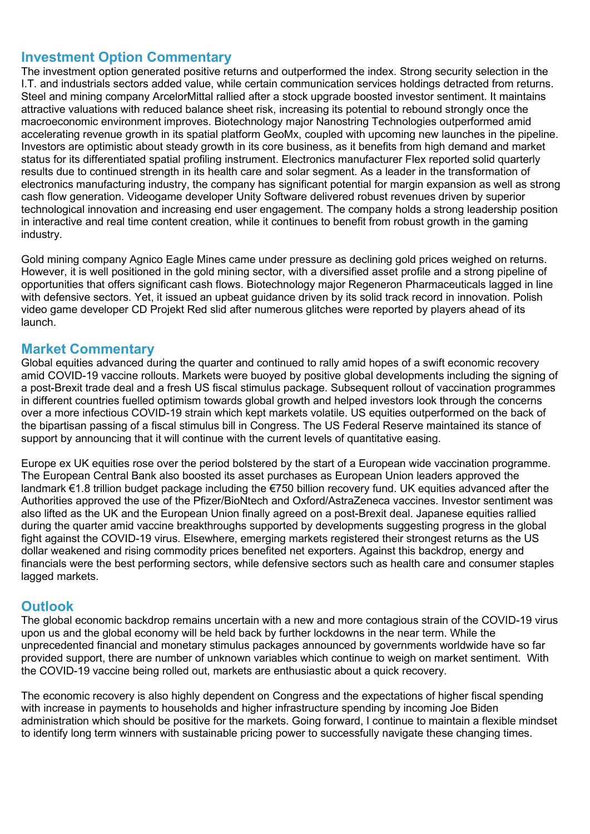#### **Investment Option Commentary**

The investment option generated positive returns and outperformed the index. Strong security selection in the I.T. and industrials sectors added value, while certain communication services holdings detracted from returns. Steel and mining company ArcelorMittal rallied after a stock upgrade boosted investor sentiment. It maintains attractive valuations with reduced balance sheet risk, increasing its potential to rebound strongly once the macroeconomic environment improves. Biotechnology major Nanostring Technologies outperformed amid accelerating revenue growth in its spatial platform GeoMx, coupled with upcoming new launches in the pipeline. Investors are optimistic about steady growth in its core business, as it benefits from high demand and market status for its differentiated spatial profiling instrument. Electronics manufacturer Flex reported solid quarterly results due to continued strength in its health care and solar segment. As a leader in the transformation of electronics manufacturing industry, the company has significant potential for margin expansion as well as strong cash flow generation. Videogame developer Unity Software delivered robust revenues driven by superior technological innovation and increasing end user engagement. The company holds a strong leadership position in interactive and real time content creation, while it continues to benefit from robust growth in the gaming industry.

Gold mining company Agnico Eagle Mines came under pressure as declining gold prices weighed on returns. However, it is well positioned in the gold mining sector, with a diversified asset profile and a strong pipeline of opportunities that offers significant cash flows. Biotechnology major Regeneron Pharmaceuticals lagged in line with defensive sectors. Yet, it issued an upbeat guidance driven by its solid track record in innovation. Polish video game developer CD Projekt Red slid after numerous glitches were reported by players ahead of its launch.

#### **Market Commentary**

Global equities advanced during the quarter and continued to rally amid hopes of a swift economic recovery amid COVID-19 vaccine rollouts. Markets were buoyed by positive global developments including the signing of a post-Brexit trade deal and a fresh US fiscal stimulus package. Subsequent rollout of vaccination programmes in different countries fuelled optimism towards global growth and helped investors look through the concerns over a more infectious COVID-19 strain which kept markets volatile. US equities outperformed on the back of the bipartisan passing of a fiscal stimulus bill in Congress. The US Federal Reserve maintained its stance of support by announcing that it will continue with the current levels of quantitative easing.

Europe ex UK equities rose over the period bolstered by the start of a European wide vaccination programme. The European Central Bank also boosted its asset purchases as European Union leaders approved the landmark €1.8 trillion budget package including the €750 billion recovery fund. UK equities advanced after the Authorities approved the use of the Pfizer/BioNtech and Oxford/AstraZeneca vaccines. Investor sentiment was also lifted as the UK and the European Union finally agreed on a post-Brexit deal. Japanese equities rallied during the quarter amid vaccine breakthroughs supported by developments suggesting progress in the global fight against the COVID-19 virus. Elsewhere, emerging markets registered their strongest returns as the US dollar weakened and rising commodity prices benefited net exporters. Against this backdrop, energy and financials were the best performing sectors, while defensive sectors such as health care and consumer staples lagged markets.

### **Outlook**

The global economic backdrop remains uncertain with a new and more contagious strain of the COVID-19 virus upon us and the global economy will be held back by further lockdowns in the near term. While the unprecedented financial and monetary stimulus packages announced by governments worldwide have so far provided support, there are number of unknown variables which continue to weigh on market sentiment. With the COVID-19 vaccine being rolled out, markets are enthusiastic about a quick recovery.

The economic recovery is also highly dependent on Congress and the expectations of higher fiscal spending with increase in payments to households and higher infrastructure spending by incoming Joe Biden administration which should be positive for the markets. Going forward, I continue to maintain a flexible mindset to identify long term winners with sustainable pricing power to successfully navigate these changing times.